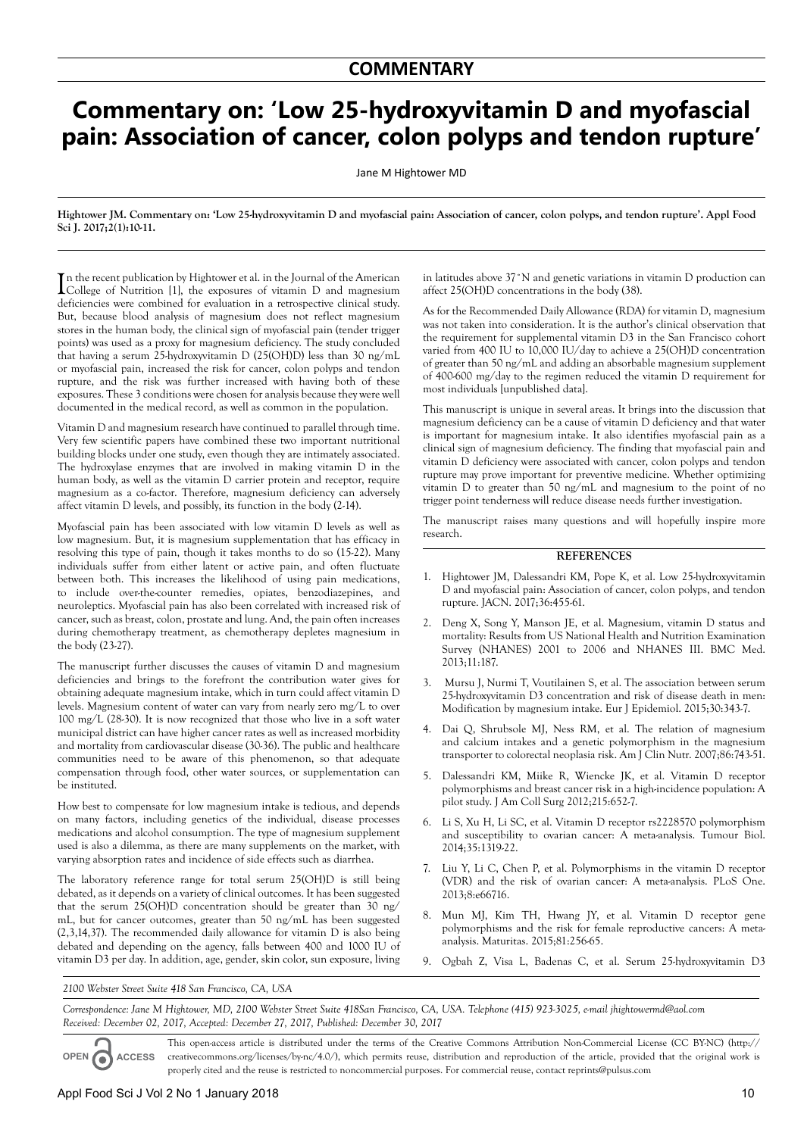## **Commentary on: 'Low 25-hydroxyvitamin D and myofascial pain: Association of cancer, colon polyps and tendon rupture'**

Jane M Hightower MD

**Hightower JM. Commentary on: 'Low 25-hydroxyvitamin D and myofascial pain: Association of cancer, colon polyps, and tendon rupture'. Appl Food Sci J. 2017;2(1):10-11.**

In the recent publication by Hightower et al. in the Journal of the American College of Nutrition [1], the exposures of vitamin D and magnesium College of Nutrition [1], the exposures of vitamin D and magnesium deficiencies were combined for evaluation in a retrospective clinical study. But, because blood analysis of magnesium does not reflect magnesium stores in the human body, the clinical sign of myofascial pain (tender trigger points) was used as a proxy for magnesium deficiency. The study concluded that having a serum 25-hydroxyvitamin D (25(OH)D) less than 30 ng/mL or myofascial pain, increased the risk for cancer, colon polyps and tendon rupture, and the risk was further increased with having both of these exposures. These 3 conditions were chosen for analysis because they were well documented in the medical record, as well as common in the population.

Vitamin D and magnesium research have continued to parallel through time. Very few scientific papers have combined these two important nutritional building blocks under one study, even though they are intimately associated. The hydroxylase enzymes that are involved in making vitamin D in the human body, as well as the vitamin D carrier protein and receptor, require magnesium as a co-factor. Therefore, magnesium deficiency can adversely affect vitamin D levels, and possibly, its function in the body (2-14).

Myofascial pain has been associated with low vitamin D levels as well as low magnesium. But, it is magnesium supplementation that has efficacy in resolving this type of pain, though it takes months to do so (15-22). Many individuals suffer from either latent or active pain, and often fluctuate between both. This increases the likelihood of using pain medications, to include over-the-counter remedies, opiates, benzodiazepines, and neuroleptics. Myofascial pain has also been correlated with increased risk of cancer, such as breast, colon, prostate and lung. And, the pain often increases during chemotherapy treatment, as chemotherapy depletes magnesium in the body (23-27).

The manuscript further discusses the causes of vitamin D and magnesium deficiencies and brings to the forefront the contribution water gives for obtaining adequate magnesium intake, which in turn could affect vitamin D levels. Magnesium content of water can vary from nearly zero mg/L to over 100 mg/L (28-30). It is now recognized that those who live in a soft water municipal district can have higher cancer rates as well as increased morbidity and mortality from cardiovascular disease (30-36). The public and healthcare communities need to be aware of this phenomenon, so that adequate compensation through food, other water sources, or supplementation can be instituted.

How best to compensate for low magnesium intake is tedious, and depends on many factors, including genetics of the individual, disease processes medications and alcohol consumption. The type of magnesium supplement used is also a dilemma, as there are many supplements on the market, with varying absorption rates and incidence of side effects such as diarrhea.

The laboratory reference range for total serum 25(OH)D is still being debated, as it depends on a variety of clinical outcomes. It has been suggested that the serum 25(OH)D concentration should be greater than 30 ng/ mL, but for cancer outcomes, greater than 50 ng/mL has been suggested (2,3,14,37). The recommended daily allowance for vitamin D is also being debated and depending on the agency, falls between 400 and 1000 IU of vitamin D3 per day. In addition, age, gender, skin color, sun exposure, living in latitudes above 37˚N and genetic variations in vitamin D production can affect 25(OH)D concentrations in the body (38).

As for the Recommended Daily Allowance (RDA) for vitamin D, magnesium was not taken into consideration. It is the author's clinical observation that the requirement for supplemental vitamin D3 in the San Francisco cohort varied from 400 IU to 10,000 IU/day to achieve a 25(OH)D concentration of greater than 50 ng/mL and adding an absorbable magnesium supplement of 400-600 mg/day to the regimen reduced the vitamin D requirement for most individuals [unpublished data].

This manuscript is unique in several areas. It brings into the discussion that magnesium deficiency can be a cause of vitamin D deficiency and that water is important for magnesium intake. It also identifies myofascial pain as a clinical sign of magnesium deficiency. The finding that myofascial pain and vitamin D deficiency were associated with cancer, colon polyps and tendon rupture may prove important for preventive medicine. Whether optimizing vitamin D to greater than 50 ng/mL and magnesium to the point of no trigger point tenderness will reduce disease needs further investigation.

The manuscript raises many questions and will hopefully inspire more research.

## **REFERENCES**

- 1. Hightower JM, Dalessandri KM, Pope K, et al. Low 25-hydroxyvitamin D and myofascial pain: Association of cancer, colon polyps, and tendon rupture. JACN. 2017;36:455-61.
- 2. Deng X, Song Y, Manson JE, et al. Magnesium, vitamin D status and mortality: Results from US National Health and Nutrition Examination Survey (NHANES) 2001 to 2006 and NHANES III. BMC Med. 2013;11:187.
- 3. Mursu J, Nurmi T, Voutilainen S, et al. The association between serum 25-hydroxyvitamin D3 concentration and risk of disease death in men: Modification by magnesium intake. Eur J Epidemiol. 2015;30:343-7.
- 4. Dai Q, Shrubsole MJ, Ness RM, et al. The relation of magnesium and calcium intakes and a genetic polymorphism in the magnesium transporter to colorectal neoplasia risk. Am J Clin Nutr. 2007;86:743-51.
- 5. Dalessandri KM, Miike R, Wiencke JK, et al. Vitamin D receptor polymorphisms and breast cancer risk in a high-incidence population: A pilot study. J Am Coll Surg 2012;215:652-7.
- 6. Li S, Xu H, Li SC, et al. Vitamin D receptor rs2228570 polymorphism and susceptibility to ovarian cancer: A meta-analysis. Tumour Biol. 2014;35:1319-22.
- 7. Liu Y, Li C, Chen P, et al. Polymorphisms in the vitamin D receptor (VDR) and the risk of ovarian cancer: A meta-analysis. PLoS One. 2013;8:e66716.
- 8. Mun MJ, Kim TH, Hwang JY, et al. Vitamin D receptor gene polymorphisms and the risk for female reproductive cancers: A metaanalysis. Maturitas. 2015;81:256-65.
- 9. Ogbah Z, Visa L, Badenas C, et al. Serum 25-hydroxyvitamin D3

*2100 Webster Street Suite 418 San Francisco, CA, USA*

*Correspondence: Jane M Hightower, MD, 2100 Webster Street Suite 418San Francisco, CA, USA. Telephone (415) 923-3025, e-mail jhightowermd@aol.com Received: December 02, 2017, Accepted: December 27, 2017, Published: December 30, 2017*

**OPEN ACCESS** This open-access article is distributed under the terms of the Creative Commons Attribution Non-Commercial License (CC BY-NC) (http:// creativecommons.org/licenses/by-nc/4.0/), which permits reuse, distribution and reproduction of the article, provided that the original work is properly cited and the reuse is restricted to noncommercial purposes. For commercial reuse, contact reprints@pulsus.com